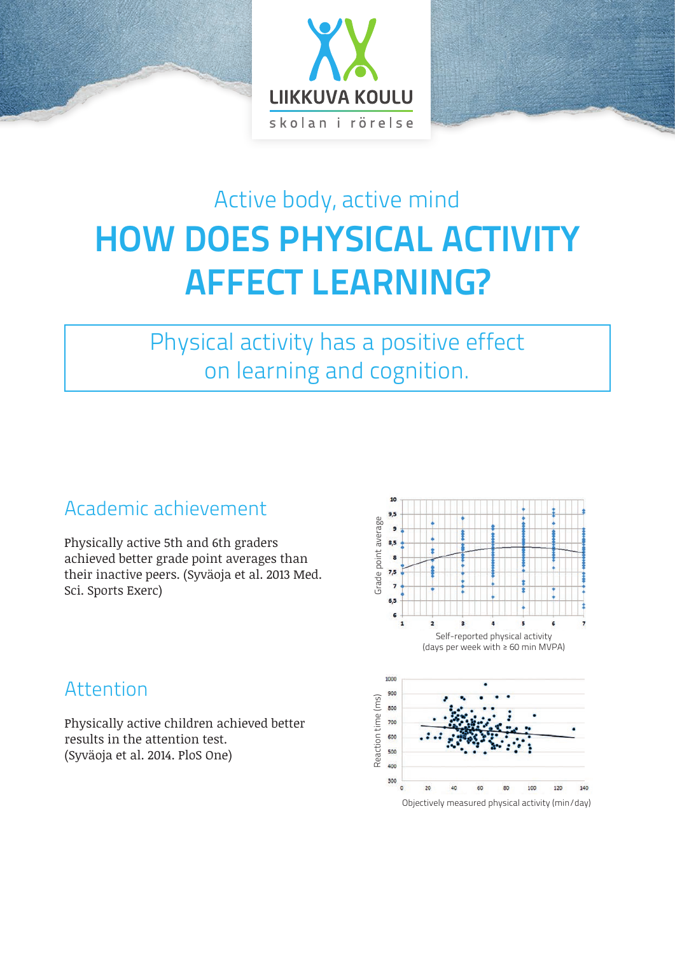

# Active body, active mind **HOW DOES PHYSICAL ACTIVITY AFFECT LEARNING?**

# Physical activity has a positive effect on learning and cognition.

# Academic achievement

Physically active 5th and 6th graders achieved better grade point averages than their inactive peers. (Syväoja et al. 2013 Med. Sci. Sports Exerc)



# Attention

Physically active children achieved better results in the attention test. (Syväoja et al. 2014. PloS One)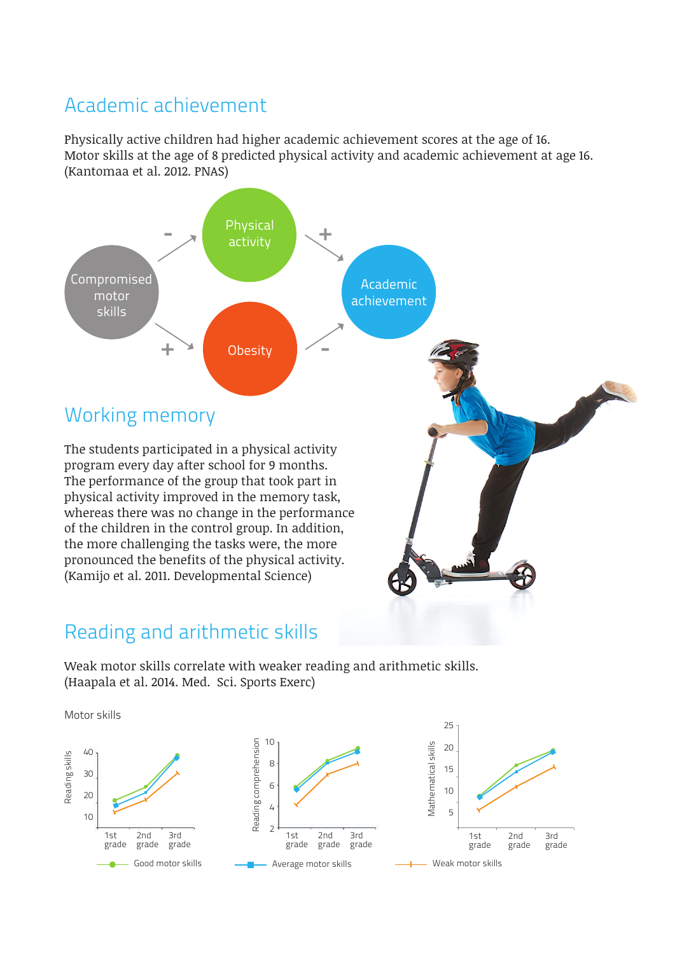#### Academic achievement

Physically active children had higher academic achievement scores at the age of 16. Motor skills at the age of 8 predicted physical activity and academic achievement at age 16. (Kantomaa et al. 2012. PNAS)



#### Reading and arithmetic skills

Weak motor skills correlate with weaker reading and arithmetic skills. (Haapala et al. 2014. Med. Sci. Sports Exerc)

Motor skills

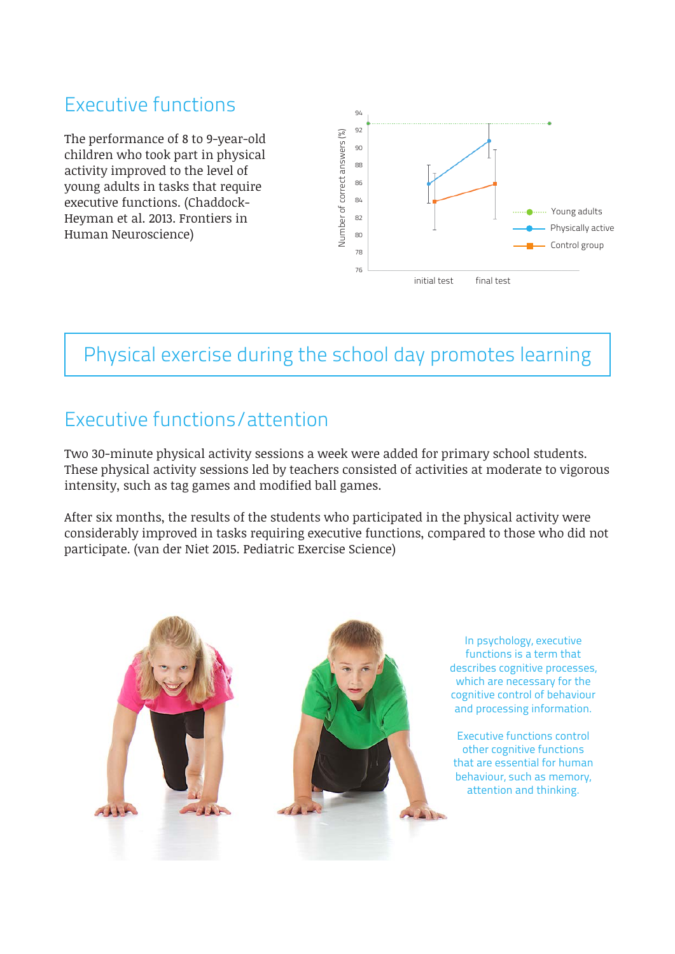# Executive functions

The performance of 8 to 9-year-old children who took part in physical activity improved to the level of young adults in tasks that require executive functions. (Chaddock-Heyman et al. 2013. Frontiers in Human Neuroscience)



### Physical exercise during the school day promotes learning

#### Executive functions/attention

Two 30-minute physical activity sessions a week were added for primary school students. These physical activity sessions led by teachers consisted of activities at moderate to vigorous intensity, such as tag games and modified ball games.

After six months, the results of the students who participated in the physical activity were considerably improved in tasks requiring executive functions, compared to those who did not participate. (van der Niet 2015. Pediatric Exercise Science)



In psychology, executive functions is a term that describes cognitive processes, which are necessary for the cognitive control of behaviour and processing information.

Executive functions control other cognitive functions that are essential for human behaviour, such as memory, attention and thinking.